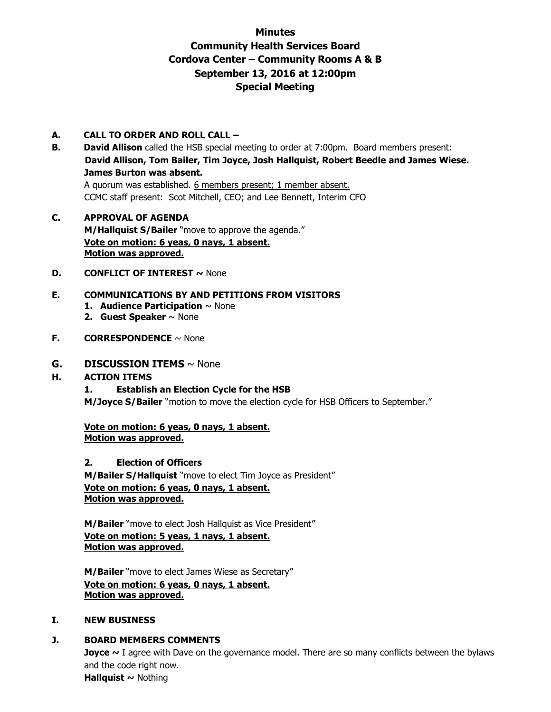# **Minutes Community Health Services Board Cordova Center – Community Rooms A & B September 13, 2016 at 12:00pm Special Meeting**

#### **A. CALL TO ORDER AND ROLL CALL –**

- **B.** David Allison called the HSB special meeting to order at 7:00pm. Board members present: **David Allison, Tom Bailer, Tim Joyce, Josh Hallquist, Robert Beedle and James Wiese. James Burton was absent.**  A quorum was established. 6 members present; 1 member absent. CCMC staff present: Scot Mitchell, CEO; and Lee Bennett, Interim CFO
- **C. APPROVAL OF AGENDA M/Hallquist S/Bailer** "move to approve the agenda." **Vote on motion: 6 yeas, 0 nays, 1 absent. Motion was approved.**
- **D. CONFLICT OF INTEREST ~ None**

## **E. COMMUNICATIONS BY AND PETITIONS FROM VISITORS**

- **1. Audience Participation** ~ None
- **2. Guest Speaker** ~ None
- **F. CORRESPONDENCE** ~ None

#### **G. DISCUSSION ITEMS** ~ None

#### **H. ACTION ITEMS**

#### **1. Establish an Election Cycle for the HSB**

**M/Joyce S/Bailer** "motion to move the election cycle for HSB Officers to September."

**Vote on motion: 6 yeas, 0 nays, 1 absent. Motion was approved.**

#### **2. Election of Officers**

**M/Bailer S/Hallquist** "move to elect Tim Joyce as President" **Vote on motion: 6 yeas, 0 nays, 1 absent. Motion was approved.**

**M/Bailer** "move to elect Josh Hallquist as Vice President" **Vote on motion: 5 yeas, 1 nays, 1 absent. Motion was approved.**

**M/Bailer** "move to elect James Wiese as Secretary" **Vote on motion: 6 yeas, 0 nays, 1 absent. Motion was approved.**

#### **I. NEW BUSINESS**

## **J. BOARD MEMBERS COMMENTS**

**Joyce** ~ I agree with Dave on the governance model. There are so many conflicts between the bylaws and the code right now. **Hallquist ~** Nothing